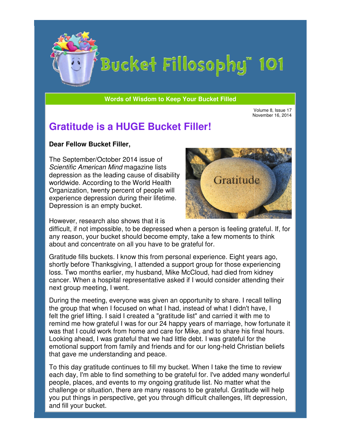

# Bucket Fillosophy" 101

**Words of Wisdom to Keep Your Bucket Filled Wisdom** 

Volume 8, Issue 17 November 16, 2014

## **Gratitude is a HUGE Bucket Filler!**

#### **Dear Fellow Bucket Filler Filler,**

The September/October 2014 issue of Scientific American Mind magazine lists depression as the leading cause of disability worldwide. According to the World Health Organization, twenty percent of people will experience depression during their lifetime. Depression is an empty bucket.



However, research also shows that it is

difficult, if not impossible, to be depressed when a person is feeling grateful. If, for difficult, if not impossible, to be depressed when a person is feeling grateful. I<br>any reason, your bucket should become empty, take a few moments to think about and concentrate on all you have to be grateful for.

Gratitude fills buckets. I know this from personal experience. Eight years ago, shortly before Thanksgiving, I attended a support group for those experiencing loss. Two months earlier, my husband, Mike McCloud, had died from kidney cancer. When a hospital representative asked if I would consider attending their next group meeting, I went. buckets. I know this from personal experience. Eight years ago,<br>Thanksgiving, I attended a support group for those experiencing<br>ths earlier, my husband, Mike McCloud, had died from kidney<br>a hospital representative asked if

During the meeting, everyone was given an opportunity to share. I recall telling the group that when I focused on what I had, instead of what I didn't have, I felt the grief lifting. I said I created a "gratitude list" and carried it with me to felt the grief lifting. I said I created a "gratitude list" and carried it with me to<br>remind me how grateful I was for our 24 happy years of marriage, how fortunate it was that I could work from home and care for Mike, and to share his final hours. Looking ahead, I was grateful that we had little debt. I was grateful for the emotional support from family and friends and for our long-held Christian beliefs that gave me understanding and peace. Gratitude is a HUGE Bucket Filler!<br>The September/October 2014 issue of<br>Scientific American Mind magazine slists<br>depression as the leading cause of disability<br>depression as the leading cause of disability<br>organization, twen

To this day gratitude continues to fill my bucket. When I take the time to review each day, I'm able to find something to be grateful for. I've added many wonderful people, places, and events to my ongoing gratitude list. No matter what the challenge or situation, there are many reasons to be grateful. Gratitude will help you put things in perspective, get you through difficult challenges, lift depression, and fill your bucket.